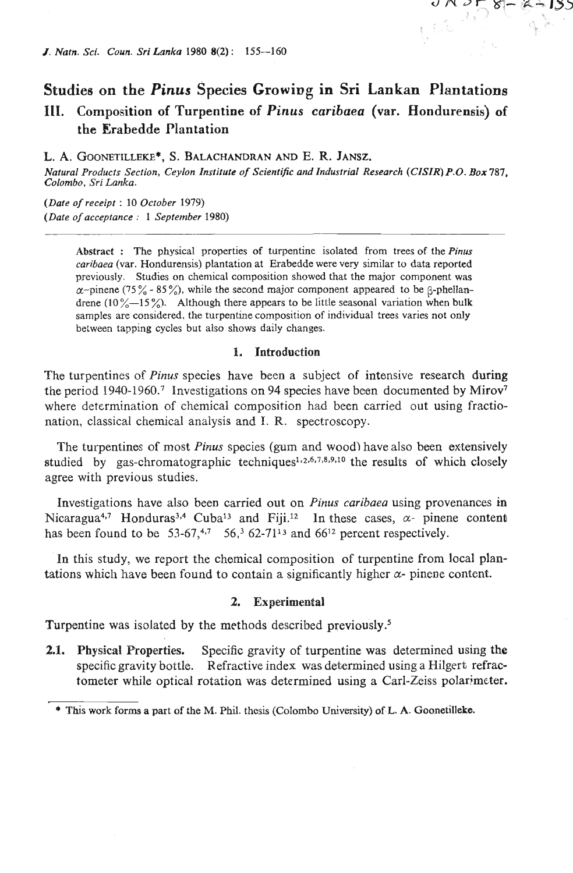# **Studiee on the** *Pinus* **Species Growing in Sri Lankan Plantations 111. Composition of Turpentine of** *Pinus* **caribaea (var. Hondorensis) of the Erabedde Plantation**

L. A. GOONETILLEKE<sup>\*</sup>, S. BALACHANDRAN AND E. R. **JANSZ.** 

*Natural Products Section, Ceylon Institute of Scientific and Industrial Research (CISIR) P.O. Box 787, Colombo,* **Sri** *Lanka.* 

*(Dare of receipt* : *10 October 1979) (Date of acceptance* : *1 September 1980)* 

> **Abstract** : The physical properties of turpentine isolated from trees of the *Pinus caribaea* (var. Hondurensis) plantation at Erabedde were very similar to data reported previously. Studies on chemical composition showed that the major component was  $\alpha$ -pinene (75% - 85%), while the second major component appeared to be  $\beta$ -phellandrene (10 %-I5 %). Although there appears to be little seasonal variation when **bulk**  samples are considered, the turpentine composition of individual trees varies not only between tapping cycles but also shows daily changes.

#### **I. Introduction**

The turpentines of *Pinus* species have been a subject of intensive research during the period **1940-1960.7** Investigations on **94** species have been documented by Mirov7 where determination of chemical composition had been carried out using fractionation, classical chemical analysis and I. **W.** spectroscopy.

The turpentines of most *Pinus* species (gum and wood) have also been extensively studied by gas-chromatographic techniques<sup>1,2,6,7,8,9,10</sup> the results of which closely agree with previous studies.

Investigations have also been carried out on *Pinus* caribaea using provenances in Nicaragua<sup>4,7</sup> Honduras<sup>3,4</sup> Cuba<sup>13</sup> and Fiji.<sup>12</sup> In these cases,  $\alpha$ - pinene content has been found to be  $53-67,47$   $56,362-7113$  and  $66^{12}$  percent respectively.

In this study, we report the chemical composition of turpentine from local plantations which have been found to contain a significantly higher  $\alpha$ - pinene content.

## **2. Experimental**

Turpentine was isolated by the methods described previously.'

**2.1. Physical Properties.** Specific gravity of turpentine was determined using the specific gravity bottle. Refractive index was determined using a Hilgert refractometer while optical rotation was determined using a Carl-Zeiss polarimeter.

<sup>\*</sup> **This work** forms a part **of** the M. Phil. **thesis** (Colombo **University)** ofL. **A.** Goonetilleke.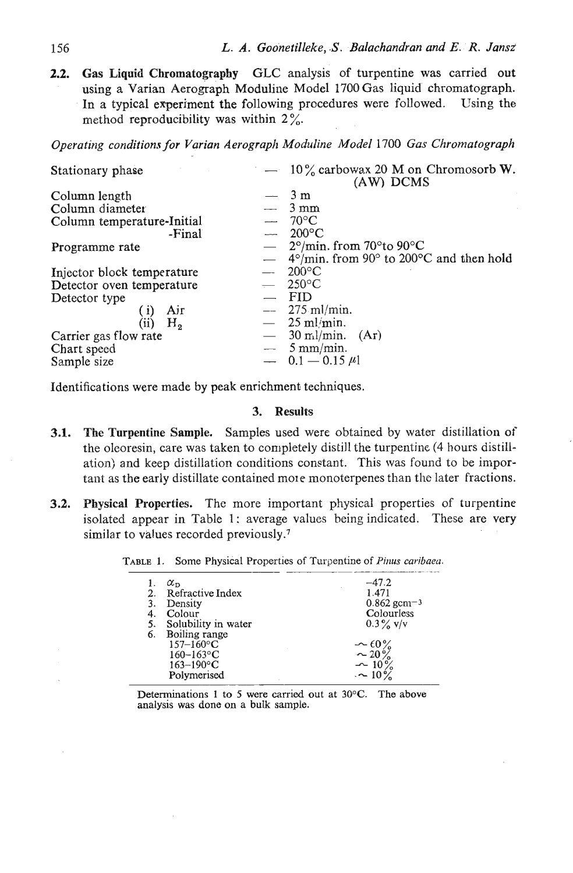2.2. Gas **Liquid** Chromatography GLC analysis of turpentine was carried out using a Varian Aerograph Moduline Model 1700 Gas liquid chromatograph. In a typical experiment the following procedures were followed. Using the method reproducibility was within  $2\%$ .

|                            | Operating conditions for Varian Aerograph Moduline Model 1700 Gas Chromatograph |
|----------------------------|---------------------------------------------------------------------------------|
| Stationary phase           | $-10\%$ carbowax 20 M on Chromosorb W.<br>(AW) DCMS                             |
| Column length              | $-3m$                                                                           |
| Column diameter            | $3 \text{ mm}$                                                                  |
| Column temperature-Initial | $70^{\circ}$ C                                                                  |
| -Final                     | $-200^{\circ}$ C                                                                |
| Programme rate             | $-$ 2°/min. from 70° to 90°C                                                    |
|                            | $-$ 4°/min. from 90° to 200°C and then hold                                     |
| Injector block temperature | $200^{\circ}$ C                                                                 |
| Detector oven temperature  | $250^{\circ}$ C                                                                 |
| Detector type              | <b>FID</b>                                                                      |
| Air<br>(i)                 | $-275$ ml/min.                                                                  |
| (iii)<br>Η,                | $-25$ ml/min.                                                                   |
| Carrier gas flow rate      | $-$ 30 ml/min. (Ar)                                                             |
| Chart speed                | $-5$ mm/min.                                                                    |
| Sample size                | $-$ 0.1 $-$ 0.15 $\mu$ 1                                                        |

Identifications were made by peak enrichment techniques.

## **3. Results**

- 3.1. The Turpentine Sample. Samples used were obtained by water distillation of the oleoresin, care was taken to completely distill the turpentine (4 hours distillation) and keep distillation conditions constant. This was found to be important as the early distillate contained mole monoterpenes than the later fractions. presin, care was taken to completely distill the turpentine (4 hours)<br>
and keep distillation conditions constant. This was found to be<br>
the early distillate contained more monoterpenes than the later fively<br> **1. Propert**
- 3.2. Physical Properties. The more important physical properties of turpentine isolated appear in Table 1: average values being indicated. These are very similar to values recorded previously.<sup>7</sup>

| 5.<br>6. | $\alpha_{\rm n}$<br>Refractive Index<br>Density<br>Colour<br>Solubility in water<br>Boiling range<br>$157 - 160$ °C<br>$160 - 163$ °C<br>$163 - 190$ °C | $-47.2$<br>1.471<br>$0.862$ gcm <sup>-3</sup><br>Colourless<br>$0.3\%$ V/V<br>$\sim 60\%$<br>$-20\%$<br>$-10\%$ |
|----------|---------------------------------------------------------------------------------------------------------------------------------------------------------|-----------------------------------------------------------------------------------------------------------------|
|          | Polymerised                                                                                                                                             | $\sim$ 10%                                                                                                      |
|          |                                                                                                                                                         |                                                                                                                 |

Determinations 1 to 5 were carried out at 30°C. The above analysis was done on a bulk sample.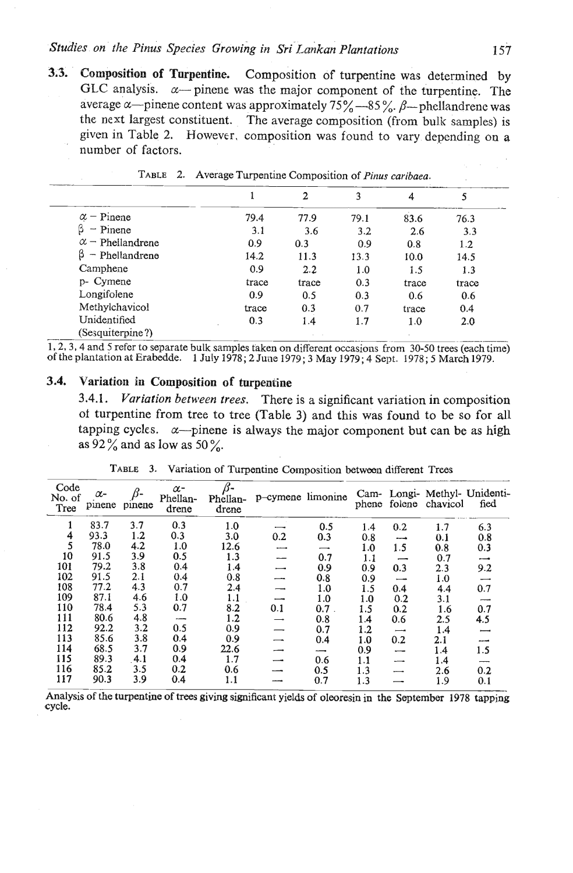# **Studies** on the Pinus Species Growing in Sri-Lankan Plantations **157**

**3.3. Composition of Turpentine.** Composition of turpentine was determined by GLC analysis.  $\alpha$ -pinene was the major component of the turpentine. The average  $\alpha$ -pinene content was approximately 75%-85%.  $\beta$ -phellandrene was the next largest constituent. The average composition (from bulk samples) is given in Table 2. However. composition was found to vary depending on a number of factors.

|                         |       | 2       | 3    | 4     | 5     |
|-------------------------|-------|---------|------|-------|-------|
| $\alpha$ – Pinene       | 79.4  | 77.9    | 79.1 | 83.6  | 76.3  |
| $-$ Pinene              | 3.1   | 3.6     | 3.2  | 2.6   | 3.3   |
| $\alpha$ – Phellandrene | 0.9   | 0.3     | 0.9  | 0.8   | 1.2   |
| $-$ Phellandrene        | 14.2  | 11.3    | 13.3 | 10.0  | 14.5  |
| Camphene                | 0.9   | $2.2\,$ | 1.0  | 1.5   | 1.3   |
| p- Cymene               | trace | trace   | 0.3  | trace | trace |
| Longifolene             | 0.9   | 0.5     | 0.3  | 0.6   | 0.6   |
| Methylchavicol          | trace | 0.3     | 0.7  | trace | 0.4   |
| Unidentified            | 0.3   | 1.4     | 1.7  | 1.0   | 2.0   |
| (Sesquiterpine?)        |       |         |      |       |       |

TABLE 2. Average Turpentine Composition of *Pinus* caribaea.

# **3.4. Variation in Composition of turpentine**

**3.4.1.** *Variation between trees.* There is a significant variation in composition oi turpentine from tree to tree (Table **3)** and this was found to be so for all tapping cycles.  $\alpha$ -pinene is always the major component but can be as high as  $92\%$  and as low as 50%.

| Code<br>No. of<br>Tree | $\alpha$ -<br>pinene | $\beta$ -<br>pinene | $\alpha$ -<br>Phellan-<br>drene | Phellan-<br>drene | p-cymene limonine        |         |     |                          | phene folene chavicol | Cam- Longi- Methyl- Unidenti-<br>fied |
|------------------------|----------------------|---------------------|---------------------------------|-------------------|--------------------------|---------|-----|--------------------------|-----------------------|---------------------------------------|
|                        | 83.7                 | 3.7                 | 0.3                             | 1.0               |                          | 0.5     | 1.4 | 0.2                      | 1.7                   | 6.3                                   |
| 4                      | 93.3                 | 1.2                 | 0.3                             | 3.0               | 0.2                      | 0.3     | 0.8 | --                       | 0.1                   | 0.8                                   |
| 5                      | 78.0                 | 4.2                 | 1.0                             | 12.6              | ---                      | -       | 1.0 | 1.5                      | 0.8                   | 0.3                                   |
| 10                     | 91.5                 | 3.9                 | 0.5                             | 1.3               |                          | 0.7     | 1.1 | ⊸                        | 0.7                   | $\overline{\phantom{0}}$              |
| 101                    | 79.2                 | 3.8                 | 0.4                             | 1.4               | --                       | 0.9     | 0.9 | 0.3                      | 2.3                   | 9.2                                   |
| 102                    | 91.5                 | 2.1                 | 0.4                             | 0.8               |                          | 0.8     | 0.9 | $\overline{\phantom{0}}$ | 1.0                   | -                                     |
| 108                    | 77.2                 | 4.3                 | 0.7                             | 2.4               |                          | 1.0     | 1.5 | 0.4                      | 4.4                   | 0.7                                   |
| 109                    | 87.1                 | 4.6                 | 1.0                             | 1.1               | $\overline{\phantom{0}}$ | 1.0     | 1.0 | 0.2                      | 3.1                   |                                       |
| 110                    | 78.4                 | 5.3                 | 0.7                             | 8.2               | 0.1                      | $0.7$ . | 1.5 | 0.2                      | 1.6                   | 0.7                                   |
| 111                    | 80.6                 | 4.8                 | -----                           | 1.2               |                          | 0.8     | 1.4 | 0.6                      | 2.5                   | 4.5                                   |
| 112                    | 92.2                 | 3.2                 | 0.5                             | 0.9               |                          | 0.7     | 1.2 | --                       | 1.4                   |                                       |
| 113                    | 85.6                 | 3.8                 | 0.4                             | 0.9               |                          | 0.4     | 1.0 | 0.2                      | 2.1                   | ---                                   |
| 114                    | 68.5                 | 3.7                 | 0.9                             | 22.6              |                          | —       | 0.9 |                          | 1.4                   | 1.5                                   |
| 115                    | 89.3                 | 4.1                 | 0.4                             | 1.7               |                          | 0.6     | 1.1 |                          | 1.4                   |                                       |
| 116                    | 85.2                 | 3.5                 | 0.2                             | 0.6               |                          | 0.5     | 1.3 |                          | 2.6                   | 0.2                                   |
| 117                    | 90.3                 | 3.9                 | 0.4                             | 1.1               |                          | 0.7     | 1.3 |                          | 1.9                   | 0.1                                   |

TABLE 3. Variation of Turpentine Composition between different Trees

Analysis of the turpentine of trees giving significant yields of oleoresin in the September 1978 tapping cycle.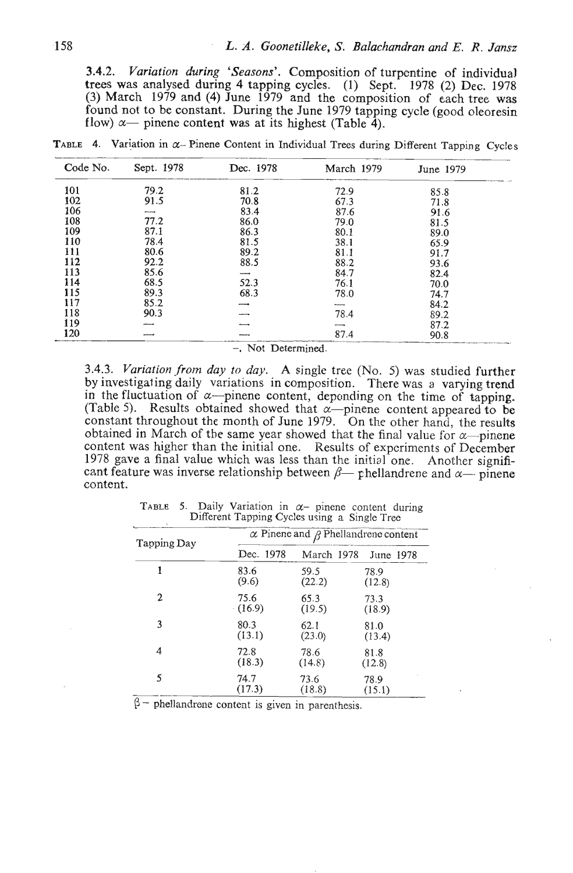**3.4.2.** *Variation during 'Seasons'.* Composition of turpentine of individual trees was analysed during 4 tapping cycles. (1) Sept. 1978 **(2) Dec.** 1978 **(3)** March 1979 and (4) June 1979 and the composition of each tree was found not to be constant. During the June 1979 tapping cycle (good oleoresin flow)  $\alpha$ — pinene content was at its highest (Table 4).

TABLE 4. Variation in  $\alpha$ - Pinene Content in Individual Trees during Different Tapping Cycles

| Code No. | Sept. 1978               | Dec. 1978 | March 1979 | June 1979 |
|----------|--------------------------|-----------|------------|-----------|
| 101      | 79.2                     | 81.2      | 72.9       | 85.8      |
| 102      | 91.5                     | 70.8      | 67.3       | 71.8      |
| 106      | $\overline{\phantom{0}}$ | 83.4      | 87.6       | 91.6      |
| 108      | 77.2                     | 86.0      | 79.0       | 81.5      |
| 109      | 87.1                     | 86.3      | 80.1       | 89.0      |
| 110      | 78.4                     | 81.5      | 38.1       | 65.9      |
| 111      | 80.6                     | 89.2      | 81.1       | 91.7      |
| 112      | 92.2                     | 88.5      | 88.2       | 93.6      |
| 113      | 85.6                     |           | 84.7       | 82.4      |
| 114      | 68.5                     | 52.3      | 76.1       | 70.0      |
| 115      | 89.3                     | 68.3      | 78.0       | 74.7      |
| 117      | 85.2                     |           |            | 84.2      |
| 118      | 90.3                     |           | 78.4       | 89.2      |
| 119      |                          |           |            | 87.2      |
| 120      |                          |           | 87.4       | 90.8      |

-, Not Determined.

**3.4.3.** *Variation ,from day to day.* A single tree (No. *5)* was studied further by investigating daily variations in composition. There was a varying trend in the fluctuation of  $\alpha$ -pinene content, depending on the time of tapping. (Table 5). Results obtained showed that  $\alpha$ -pinene content appeared to be constant throughout the month of June 1979. On the other hand, the results obtained in March of the same year showed that the final value for  $\alpha$ -pinene content was higher than the initial one. Results of experiments of December 1978 gave a final value which was less than the initial one. Another significant feature was inverse relationship between  $\beta$ — phellandrene and  $\alpha$ — pinene content.

| TABLE 5. Daily Variation in $\alpha$ - pinene content during | Different Tapping Cycles using a Single Tree |                                                  |                      |  |  |  |  |
|--------------------------------------------------------------|----------------------------------------------|--------------------------------------------------|----------------------|--|--|--|--|
| Tapping Day                                                  |                                              | $\alpha$ Pinene and $\beta$ Phellandrene content |                      |  |  |  |  |
|                                                              | Dec. 1978                                    |                                                  | March 1978 June 1978 |  |  |  |  |
| 1                                                            | 83.6                                         | 59.5                                             | 78.9                 |  |  |  |  |
|                                                              | (9.6)                                        | (22.2)                                           | (12.8)               |  |  |  |  |
| 2                                                            | 75.6                                         | 65.3                                             | 73.3                 |  |  |  |  |
|                                                              | (16.9)                                       | (19.5)                                           | (18.9)               |  |  |  |  |
| 3                                                            | 80.3                                         | 62.1                                             | 81.0                 |  |  |  |  |
|                                                              | (13.1)                                       | (23.0)                                           | (13.4)               |  |  |  |  |
| 4                                                            | 72.8                                         | 78.6                                             | 81.8                 |  |  |  |  |
|                                                              | (18.3)                                       | (14.8)                                           | (12.8)               |  |  |  |  |
| 5                                                            | 74.7                                         | 73.6                                             | 78.9                 |  |  |  |  |
|                                                              | (17.3)                                       | (18.8)                                           | (15.1)               |  |  |  |  |

TABLE 5. Daily Variation in  $\alpha$ - pinene content during Different Tapping Cycles using a Single Tree

 $\beta$  - phellandrene content is given in parenthesis.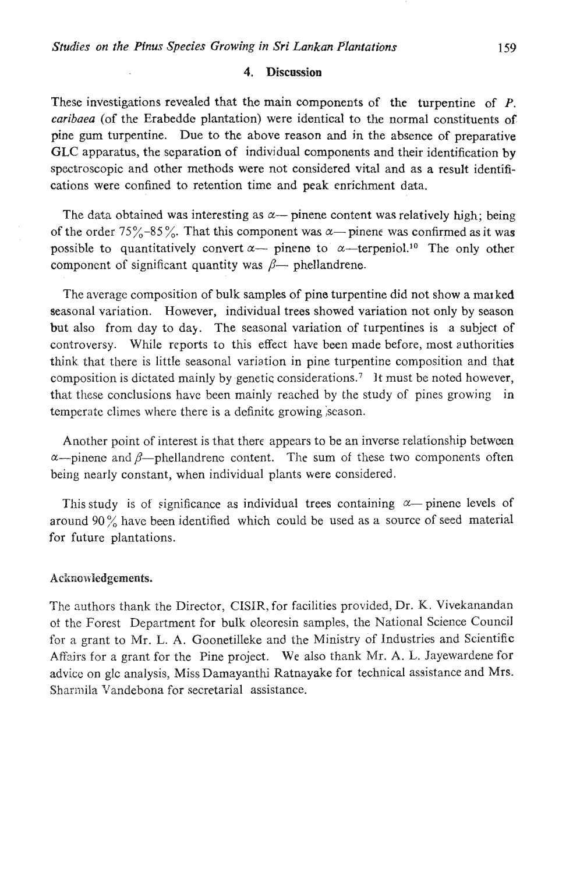## **4. Discussion**

These investigations revealed that the main components of the turpentine of P. caribaea (of the Erabedde plantation) were identical to the normal constituents of pine gum turpentine. Due to the above reason and in the absence of preparative GLC apparatus, the separation of individual components and their identification by spectroscopic and other methods were not considered vital and as a result identifications were confined to retention time and peak enrjchment data.

The data obtained was interesting as  $\alpha$ — pinene content was relatively high; being of the order  $75\% - 85\%$ . That this component was  $\alpha$ — pinene was confirmed as it was possible to quantitatively convert  $\alpha$ — pinene to  $\alpha$ —terpeniol.<sup>10</sup> The only other component of significant quantity was  $\beta$ — phellandrene.

The average composition of bulk samples of pine turpentine did not show a marked seasonal variation. However, individual trees showed variation not only by season but also from day to day. The seasonal variation of turpentines is a subject of controversy. While reports to this effect have been made before, most authorities think that there is little seasonal variation in pine turpentine composition and that composition is dictated mainly by genetic consideration^.^ **It** must be noted however, that these conclusions have been mainly reached by the study of pines growing in temperate climes where there is a definite growing season.

Another point of interest is that there appears to be an inverse relationship betwcen  $\alpha$ --pinene and  $\beta$ --phellandrene content. The sum of these two components often being nearly constant, when individual plants were considered.

This study is of significance as individual trees containing  $\alpha$ -pinene levels of around 90 % have been identified which could be used as **a** source of seed material for future plantations.

### Acknowledgements.

The authors thank the Director, CISIR, for facilities provided, Dr. K. Vivekanandan of. the Forest Department for bulk oleoresin samples, the National Science Council for a grant to Mr. L. A. Goonetilleke and the Ministry of Industries and Scientific Afij.irs for a grant for the Pine project. We also thank Mr. A. **L.** Jayewardene for advicc on glc analysis, Miss Damayanthi Ratnayake for technical assistance and Mrs. Sharmila Vandebona for secretarial assistance.